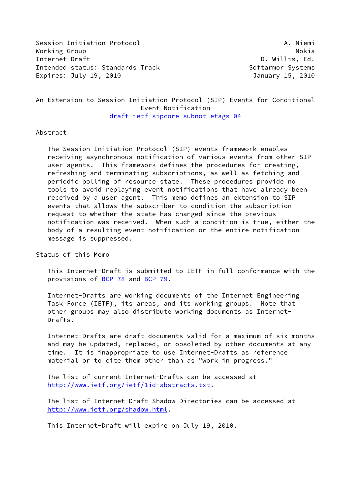Session Initiation Protocol **A. Niemi** A. Niemi Working Group **Notable Report of the Contract Oriental** Nokia Nokia Nokia Nokia Nokia Nokia Nokia Nokia Nokia No Internet-Draft D. Willis, Ed. Intended status: Standards Track Softarmor Systems Expires: July 19, 2010 January 15, 2010

# An Extension to Session Initiation Protocol (SIP) Events for Conditional Event Notification [draft-ietf-sipcore-subnot-etags-04](https://datatracker.ietf.org/doc/pdf/draft-ietf-sipcore-subnot-etags-04)

### Abstract

 The Session Initiation Protocol (SIP) events framework enables receiving asynchronous notification of various events from other SIP user agents. This framework defines the procedures for creating, refreshing and terminating subscriptions, as well as fetching and periodic polling of resource state. These procedures provide no tools to avoid replaying event notifications that have already been received by a user agent. This memo defines an extension to SIP events that allows the subscriber to condition the subscription request to whether the state has changed since the previous notification was received. When such a condition is true, either the body of a resulting event notification or the entire notification message is suppressed.

Status of this Memo

 This Internet-Draft is submitted to IETF in full conformance with the provisions of [BCP 78](https://datatracker.ietf.org/doc/pdf/bcp78) and [BCP 79](https://datatracker.ietf.org/doc/pdf/bcp79).

 Internet-Drafts are working documents of the Internet Engineering Task Force (IETF), its areas, and its working groups. Note that other groups may also distribute working documents as Internet- Drafts.

 Internet-Drafts are draft documents valid for a maximum of six months and may be updated, replaced, or obsoleted by other documents at any time. It is inappropriate to use Internet-Drafts as reference material or to cite them other than as "work in progress."

 The list of current Internet-Drafts can be accessed at <http://www.ietf.org/ietf/1id-abstracts.txt>.

 The list of Internet-Draft Shadow Directories can be accessed at <http://www.ietf.org/shadow.html>.

This Internet-Draft will expire on July 19, 2010.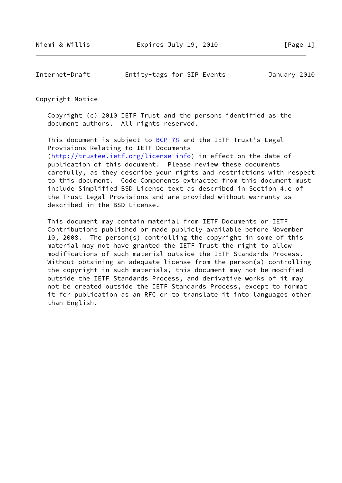Internet-Draft Entity-tags for SIP Events January 2010

Copyright Notice

 Copyright (c) 2010 IETF Trust and the persons identified as the document authors. All rights reserved.

This document is subject to **[BCP 78](https://datatracker.ietf.org/doc/pdf/bcp78)** and the IETF Trust's Legal Provisions Relating to IETF Documents [\(http://trustee.ietf.org/license-info](http://trustee.ietf.org/license-info)) in effect on the date of publication of this document. Please review these documents carefully, as they describe your rights and restrictions with respect to this document. Code Components extracted from this document must include Simplified BSD License text as described in Section 4.e of the Trust Legal Provisions and are provided without warranty as described in the BSD License.

 This document may contain material from IETF Documents or IETF Contributions published or made publicly available before November 10, 2008. The person(s) controlling the copyright in some of this material may not have granted the IETF Trust the right to allow modifications of such material outside the IETF Standards Process. Without obtaining an adequate license from the person(s) controlling the copyright in such materials, this document may not be modified outside the IETF Standards Process, and derivative works of it may not be created outside the IETF Standards Process, except to format it for publication as an RFC or to translate it into languages other than English.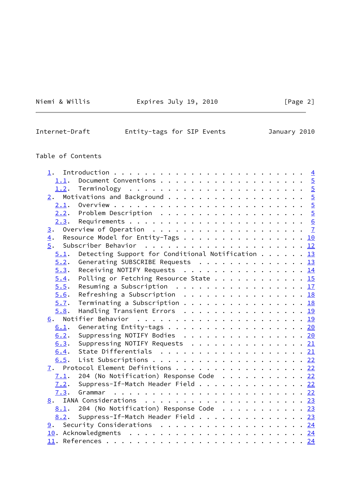Niemi & Willis **Expires July 19, 2010** [Page 2]

| Internet-Draft | Entity-tags for SIP Events |  | January 2010 |  |
|----------------|----------------------------|--|--------------|--|
|                |                            |  |              |  |

# Table of Contents

| ı.   |                                                                                   |  |  |  |  |
|------|-----------------------------------------------------------------------------------|--|--|--|--|
| 1.1. |                                                                                   |  |  |  |  |
|      |                                                                                   |  |  |  |  |
|      |                                                                                   |  |  |  |  |
|      |                                                                                   |  |  |  |  |
| 2.2. | Problem Description $\ldots \ldots \ldots \ldots \ldots \ldots \frac{5}{2}$       |  |  |  |  |
| 2.3. |                                                                                   |  |  |  |  |
| 3.   | Overview of Operation $\ldots \ldots \ldots \ldots \ldots \ldots$                 |  |  |  |  |
| 4.   | Resource Model for Entity-Tags 10                                                 |  |  |  |  |
| 5.   |                                                                                   |  |  |  |  |
| 5.1. | Detecting Support for Conditional Notification $\ldots$ $\ldots$ $\frac{13}{2}$   |  |  |  |  |
| 5.2. | Generating SUBSCRIBE Requests 13                                                  |  |  |  |  |
| 5.3. | Receiving NOTIFY Requests 14                                                      |  |  |  |  |
| 5.4. | Polling or Fetching Resource State 15                                             |  |  |  |  |
| 5.5. | Resuming a Subscription $\ldots \ldots \ldots \ldots \ldots \ldots \frac{17}{11}$ |  |  |  |  |
| 5.6. | Refreshing a Subscription $\ldots \ldots \ldots \ldots \ldots \frac{18}{18}$      |  |  |  |  |
| 5.7. | Terminating a Subscription 18                                                     |  |  |  |  |
| 5.8. | Handling Transient Errors 19                                                      |  |  |  |  |
|      |                                                                                   |  |  |  |  |
| 6.1. | Generating Entity-tags 20                                                         |  |  |  |  |
| 6.2. | Suppressing NOTIFY Bodies 20                                                      |  |  |  |  |
| 6.3. | Suppressing NOTIFY Requests 21                                                    |  |  |  |  |
| 6.4. | State Differentials 21                                                            |  |  |  |  |
| 6.5. |                                                                                   |  |  |  |  |
| 7.   | Protocol Element Definitions 22                                                   |  |  |  |  |
| 7.1. | 204 (No Notification) Response Code $\cdots$ 22                                   |  |  |  |  |
| 7.2. | Suppress-If-Match Header Field 22                                                 |  |  |  |  |
| 7.3. |                                                                                   |  |  |  |  |
|      |                                                                                   |  |  |  |  |
| 8.1. | 204 (No Notification) Response Code 23                                            |  |  |  |  |
| 8.2. | Suppress-If-Match Header Field 23                                                 |  |  |  |  |
|      | 9. Security Considerations 24                                                     |  |  |  |  |
|      |                                                                                   |  |  |  |  |
|      |                                                                                   |  |  |  |  |

 $\overline{\phantom{0}}$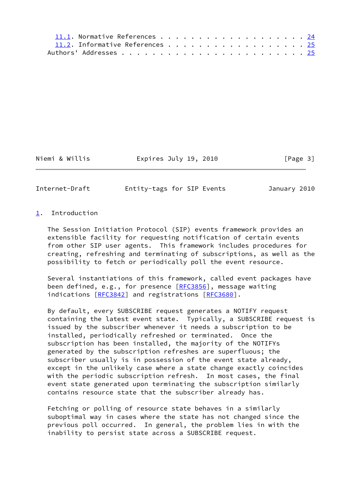| 11.1. Normative References 24   |  |  |  |  |  |  |  |  |  |  |
|---------------------------------|--|--|--|--|--|--|--|--|--|--|
| 11.2. Informative References 25 |  |  |  |  |  |  |  |  |  |  |
|                                 |  |  |  |  |  |  |  |  |  |  |

Niemi & Willis **Expires July 19, 2010** [Page 3]

<span id="page-3-1"></span>Internet-Draft Entity-tags for SIP Events January 2010

# <span id="page-3-0"></span>[1](#page-3-0). Introduction

 The Session Initiation Protocol (SIP) events framework provides an extensible facility for requesting notification of certain events from other SIP user agents. This framework includes procedures for creating, refreshing and terminating of subscriptions, as well as the possibility to fetch or periodically poll the event resource.

 Several instantiations of this framework, called event packages have been defined, e.g., for presence [\[RFC3856](https://datatracker.ietf.org/doc/pdf/rfc3856)], message waiting indications [\[RFC3842](https://datatracker.ietf.org/doc/pdf/rfc3842)] and registrations [\[RFC3680](https://datatracker.ietf.org/doc/pdf/rfc3680)].

 By default, every SUBSCRIBE request generates a NOTIFY request containing the latest event state. Typically, a SUBSCRIBE request is issued by the subscriber whenever it needs a subscription to be installed, periodically refreshed or terminated. Once the subscription has been installed, the majority of the NOTIFYs generated by the subscription refreshes are superfluous; the subscriber usually is in possession of the event state already, except in the unlikely case where a state change exactly coincides with the periodic subscription refresh. In most cases, the final event state generated upon terminating the subscription similarly contains resource state that the subscriber already has.

 Fetching or polling of resource state behaves in a similarly suboptimal way in cases where the state has not changed since the previous poll occurred. In general, the problem lies in with the inability to persist state across a SUBSCRIBE request.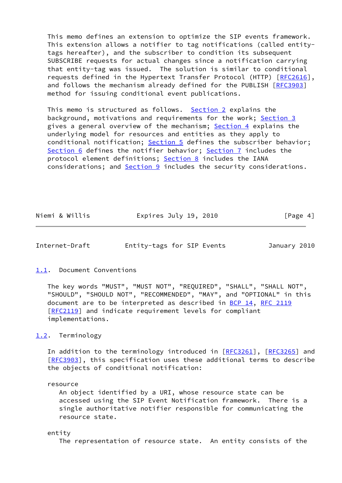This memo defines an extension to optimize the SIP events framework. This extension allows a notifier to tag notifications (called entity tags hereafter), and the subscriber to condition its subsequent SUBSCRIBE requests for actual changes since a notification carrying that entity-tag was issued. The solution is similar to conditional requests defined in the Hypertext Transfer Protocol (HTTP) [[RFC2616\]](https://datatracker.ietf.org/doc/pdf/rfc2616), and follows the mechanism already defined for the PUBLISH [[RFC3903](https://datatracker.ietf.org/doc/pdf/rfc3903)] method for issuing conditional event publications.

 This memo is structured as follows. [Section 2](#page-5-0) explains the background, motivations and requirements for the work; [Section 3](#page-6-1) gives a general overview of the mechanism; [Section 4](#page-10-0) explains the underlying model for resources and entities as they apply to conditional notification; [Section 5](#page-13-0) defines the subscriber behavior; [Section 6](#page-21-0) defines the notifier behavior; [Section 7](#page-24-0) includes the protocol element definitions; [Section 8](#page-25-0) includes the IANA considerations; and **Section 9** includes the security considerations.

| Niemi & Willis<br>Expires July 19, 2010 | [Page 4] |
|-----------------------------------------|----------|
|-----------------------------------------|----------|

<span id="page-4-1"></span>Internet-Draft Entity-tags for SIP Events January 2010

# <span id="page-4-0"></span>[1.1](#page-4-0). Document Conventions

 The key words "MUST", "MUST NOT", "REQUIRED", "SHALL", "SHALL NOT", "SHOULD", "SHOULD NOT", "RECOMMENDED", "MAY", and "OPTIONAL" in this document are to be interpreted as described in [BCP 14](https://datatracker.ietf.org/doc/pdf/bcp14), [RFC 2119](https://datatracker.ietf.org/doc/pdf/rfc2119) [\[RFC2119](https://datatracker.ietf.org/doc/pdf/rfc2119)] and indicate requirement levels for compliant implementations.

<span id="page-4-2"></span>[1.2](#page-4-2). Terminology

In addition to the terminology introduced in [\[RFC3261](https://datatracker.ietf.org/doc/pdf/rfc3261)], [\[RFC3265](https://datatracker.ietf.org/doc/pdf/rfc3265)] and [\[RFC3903](https://datatracker.ietf.org/doc/pdf/rfc3903)], this specification uses these additional terms to describe the objects of conditional notification:

resource

 An object identified by a URI, whose resource state can be accessed using the SIP Event Notification framework. There is a single authoritative notifier responsible for communicating the resource state.

#### entity

The representation of resource state. An entity consists of the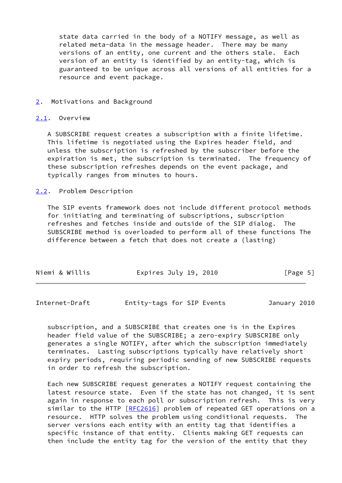state data carried in the body of a NOTIFY message, as well as related meta-data in the message header. There may be many versions of an entity, one current and the others stale. Each version of an entity is identified by an entity-tag, which is guaranteed to be unique across all versions of all entities for a resource and event package.

#### <span id="page-5-0"></span>[2](#page-5-0). Motivations and Background

#### <span id="page-5-1"></span>[2.1](#page-5-1). Overview

 A SUBSCRIBE request creates a subscription with a finite lifetime. This lifetime is negotiated using the Expires header field, and unless the subscription is refreshed by the subscriber before the expiration is met, the subscription is terminated. The frequency of these subscription refreshes depends on the event package, and typically ranges from minutes to hours.

### <span id="page-5-2"></span>[2.2](#page-5-2). Problem Description

 The SIP events framework does not include different protocol methods for initiating and terminating of subscriptions, subscription refreshes and fetches inside and outside of the SIP dialog. The SUBSCRIBE method is overloaded to perform all of these functions The difference between a fetch that does not create a (lasting)

| Niemi & Willis | Expires July 19, 2010 | [Page 5] |
|----------------|-----------------------|----------|
|                |                       |          |

<span id="page-5-3"></span>Internet-Draft Entity-tags for SIP Events January 2010

 subscription, and a SUBSCRIBE that creates one is in the Expires header field value of the SUBSCRIBE; a zero-expiry SUBSCRIBE only generates a single NOTIFY, after which the subscription immediately terminates. Lasting subscriptions typically have relatively short expiry periods, requiring periodic sending of new SUBSCRIBE requests in order to refresh the subscription.

 Each new SUBSCRIBE request generates a NOTIFY request containing the latest resource state. Even if the state has not changed, it is sent again in response to each poll or subscription refresh. This is very similar to the HTTP [\[RFC2616](https://datatracker.ietf.org/doc/pdf/rfc2616)] problem of repeated GET operations on a resource. HTTP solves the problem using conditional requests. The server versions each entity with an entity tag that identifies a specific instance of that entity. Clients making GET requests can then include the entity tag for the version of the entity that they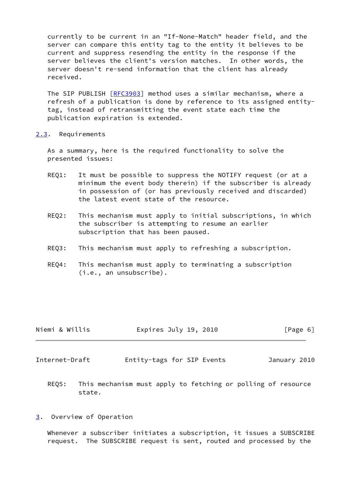currently to be current in an "If-None-Match" header field, and the server can compare this entity tag to the entity it believes to be current and suppress resending the entity in the response if the server believes the client's version matches. In other words, the server doesn't re-send information that the client has already received.

The SIP PUBLISH [\[RFC3903](https://datatracker.ietf.org/doc/pdf/rfc3903)] method uses a similar mechanism, where a refresh of a publication is done by reference to its assigned entity tag, instead of retransmitting the event state each time the publication expiration is extended.

<span id="page-6-0"></span>[2.3](#page-6-0). Requirements

 As a summary, here is the required functionality to solve the presented issues:

- REQ1: It must be possible to suppress the NOTIFY request (or at a minimum the event body therein) if the subscriber is already in possession of (or has previously received and discarded) the latest event state of the resource.
- REQ2: This mechanism must apply to initial subscriptions, in which the subscriber is attempting to resume an earlier subscription that has been paused.
- REQ3: This mechanism must apply to refreshing a subscription.
- REQ4: This mechanism must apply to terminating a subscription (i.e., an unsubscribe).

| Niemi & Willis | Expires July 19, 2010 | [Page 6] |
|----------------|-----------------------|----------|
|                |                       |          |

<span id="page-6-2"></span>Internet-Draft Entity-tags for SIP Events January 2010

- REQ5: This mechanism must apply to fetching or polling of resource state.
- <span id="page-6-1"></span>[3](#page-6-1). Overview of Operation

 Whenever a subscriber initiates a subscription, it issues a SUBSCRIBE request. The SUBSCRIBE request is sent, routed and processed by the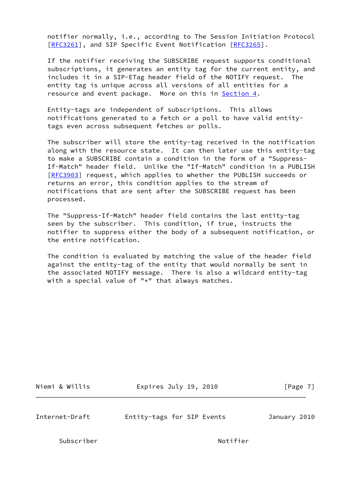notifier normally, i.e., according to The Session Initiation Protocol [\[RFC3261](https://datatracker.ietf.org/doc/pdf/rfc3261)], and SIP Specific Event Notification [\[RFC3265](https://datatracker.ietf.org/doc/pdf/rfc3265)].

 If the notifier receiving the SUBSCRIBE request supports conditional subscriptions, it generates an entity tag for the current entity, and includes it in a SIP-ETag header field of the NOTIFY request. The entity tag is unique across all versions of all entities for a resource and event package. More on this in [Section 4](#page-10-0).

 Entity-tags are independent of subscriptions. This allows notifications generated to a fetch or a poll to have valid entity tags even across subsequent fetches or polls.

 The subscriber will store the entity-tag received in the notification along with the resource state. It can then later use this entity-tag to make a SUBSCRIBE contain a condition in the form of a "Suppress- If-Match" header field. Unlike the "If-Match" condition in a PUBLISH [\[RFC3903](https://datatracker.ietf.org/doc/pdf/rfc3903)] request, which applies to whether the PUBLISH succeeds or returns an error, this condition applies to the stream of notifications that are sent after the SUBSCRIBE request has been processed.

 The "Suppress-If-Match" header field contains the last entity-tag seen by the subscriber. This condition, if true, instructs the notifier to suppress either the body of a subsequent notification, or the entire notification.

 The condition is evaluated by matching the value of the header field against the entity-tag of the entity that would normally be sent in the associated NOTIFY message. There is also a wildcard entity-tag with a special value of "\*" that always matches.

| Niemi & Willis |  |  |
|----------------|--|--|

Expires July 19, 2010 [Page 7]

Internet-Draft Entity-tags for SIP Events January 2010

Subscriber Notifier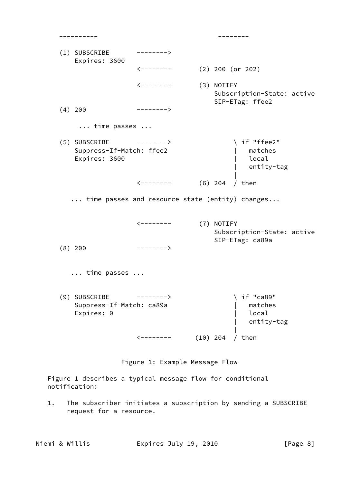| (1) SUBSCRIBE<br>Expires: 3600                             | -------->                  |            |                                                             |
|------------------------------------------------------------|----------------------------|------------|-------------------------------------------------------------|
|                                                            | $\leftarrow$ - - - - - - - |            | $(2)$ 200 (or 202)                                          |
|                                                            | $\leftarrow$ - - - - - - - |            | (3) NOTIFY<br>Subscription-State: active<br>SIP-ETag: ffee2 |
| $(4)$ 200                                                  | -------->                  |            |                                                             |
| time passes                                                |                            |            |                                                             |
| (5) SUBSCRIBE<br>Suppress-If-Match: ffee2<br>Expires: 3600 | $--------$                 |            | if "ffee2"<br>matches<br>local<br>entity-tag                |
|                                                            | $\leftarrow$ - - - - - - - |            | $(6)$ 204<br>/ then                                         |
|                                                            |                            |            | time passes and resource state (entity) changes             |
|                                                            | $\leftarrow$ - - - - - - - |            | (7) NOTIFY<br>Subscription-State: active<br>SIP-ETag: ca89a |
| $(8)$ 200                                                  | -------->                  |            |                                                             |
| $\ldots$ time passes $\ldots$                              |                            |            |                                                             |
| (9) SUBSCRIBE<br>Suppress-If-Match: ca89a<br>Expires: 0    | ------->                   |            | if "ca89"<br>matches<br>local<br>entity-tag                 |
|                                                            | <b>&lt;-------</b>         | $(10)$ 204 | then                                                        |

Figure 1: Example Message Flow

 Figure 1 describes a typical message flow for conditional notification:

 1. The subscriber initiates a subscription by sending a SUBSCRIBE request for a resource.

Niemi & Willis Expires July 19, 2010 [Page 8]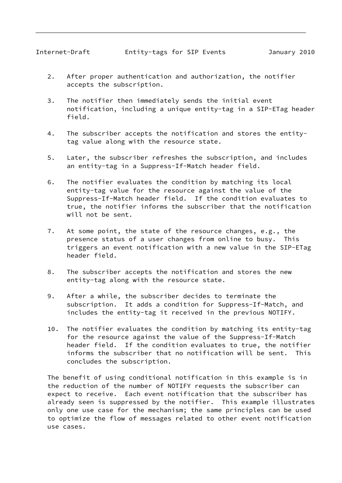- 2. After proper authentication and authorization, the notifier accepts the subscription.
- 3. The notifier then immediately sends the initial event notification, including a unique entity-tag in a SIP-ETag header field.
- 4. The subscriber accepts the notification and stores the entity tag value along with the resource state.
- 5. Later, the subscriber refreshes the subscription, and includes an entity-tag in a Suppress-If-Match header field.
- 6. The notifier evaluates the condition by matching its local entity-tag value for the resource against the value of the Suppress-If-Match header field. If the condition evaluates to true, the notifier informs the subscriber that the notification will not be sent.
- 7. At some point, the state of the resource changes, e.g., the presence status of a user changes from online to busy. This triggers an event notification with a new value in the SIP-ETag header field.
- 8. The subscriber accepts the notification and stores the new entity-tag along with the resource state.
- 9. After a while, the subscriber decides to terminate the subscription. It adds a condition for Suppress-If-Match, and includes the entity-tag it received in the previous NOTIFY.
- 10. The notifier evaluates the condition by matching its entity-tag for the resource against the value of the Suppress-If-Match header field. If the condition evaluates to true, the notifier informs the subscriber that no notification will be sent. This concludes the subscription.

 The benefit of using conditional notification in this example is in the reduction of the number of NOTIFY requests the subscriber can expect to receive. Each event notification that the subscriber has already seen is suppressed by the notifier. This example illustrates only one use case for the mechanism; the same principles can be used to optimize the flow of messages related to other event notification use cases.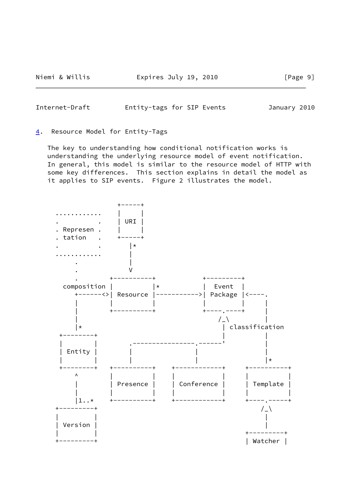<span id="page-10-1"></span>Internet-Draft Entity-tags for SIP Events January 2010

#### <span id="page-10-0"></span>[4](#page-10-0). Resource Model for Entity-Tags

 The key to understanding how conditional notification works is understanding the underlying resource model of event notification. In general, this model is similar to the resource model of HTTP with some key differences. This section explains in detail the model as it applies to SIP events. Figure 2 illustrates the model.

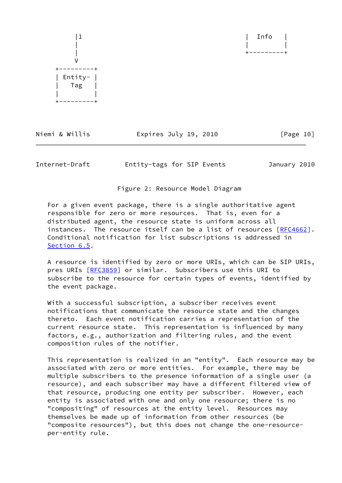

Niemi & Willis **Expires July 19, 2010** [Page 10]

Internet-Draft Entity-tags for SIP Events January 2010

Figure 2: Resource Model Diagram

 For a given event package, there is a single authoritative agent responsible for zero or more resources. That is, even for a distributed agent, the resource state is uniform across all instances. The resource itself can be a list of resources [[RFC4662\]](https://datatracker.ietf.org/doc/pdf/rfc4662). Conditional notification for list subscriptions is addressed in [Section 6.5](#page-23-1).

 A resource is identified by zero or more URIs, which can be SIP URIs, pres URIs [[RFC3859](https://datatracker.ietf.org/doc/pdf/rfc3859)] or similar. Subscribers use this URI to subscribe to the resource for certain types of events, identified by the event package.

 With a successful subscription, a subscriber receives event notifications that communicate the resource state and the changes thereto. Each event notification carries a representation of the current resource state. This representation is influenced by many factors, e.g., authorization and filtering rules, and the event composition rules of the notifier.

 This representation is realized in an "entity". Each resource may be associated with zero or more entities. For example, there may be multiple subscribers to the presence information of a single user (a resource), and each subscriber may have a different filtered view of that resource, producing one entity per subscriber. However, each entity is associated with one and only one resource; there is no "compositing" of resources at the entity level. Resources may themselves be made up of information from other resources (be "composite resources"), but this does not change the one-resource per-entity rule.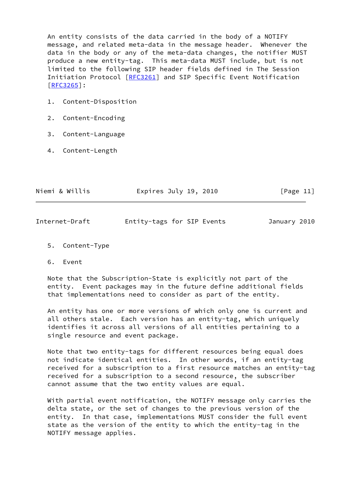An entity consists of the data carried in the body of a NOTIFY message, and related meta-data in the message header. Whenever the data in the body or any of the meta-data changes, the notifier MUST produce a new entity-tag. This meta-data MUST include, but is not limited to the following SIP header fields defined in The Session Initiation Protocol [\[RFC3261](https://datatracker.ietf.org/doc/pdf/rfc3261)] and SIP Specific Event Notification [\[RFC3265](https://datatracker.ietf.org/doc/pdf/rfc3265)]:

- 1. Content-Disposition
- 2. Content-Encoding
- 3. Content-Language
- 4. Content-Length

| Niemi & Willis | Expires July 19, 2010 | [Page 11] |
|----------------|-----------------------|-----------|
|                |                       |           |

January 2010

<span id="page-12-0"></span>

| Entity-tags for SIP Events<br>Internet-Draft |  |  |  |  |  |
|----------------------------------------------|--|--|--|--|--|
|----------------------------------------------|--|--|--|--|--|

- 5. Content-Type
- 6. Event

 Note that the Subscription-State is explicitly not part of the entity. Event packages may in the future define additional fields that implementations need to consider as part of the entity.

 An entity has one or more versions of which only one is current and all others stale. Each version has an entity-tag, which uniquely identifies it across all versions of all entities pertaining to a single resource and event package.

 Note that two entity-tags for different resources being equal does not indicate identical entities. In other words, if an entity-tag received for a subscription to a first resource matches an entity-tag received for a subscription to a second resource, the subscriber cannot assume that the two entity values are equal.

 With partial event notification, the NOTIFY message only carries the delta state, or the set of changes to the previous version of the entity. In that case, implementations MUST consider the full event state as the version of the entity to which the entity-tag in the NOTIFY message applies.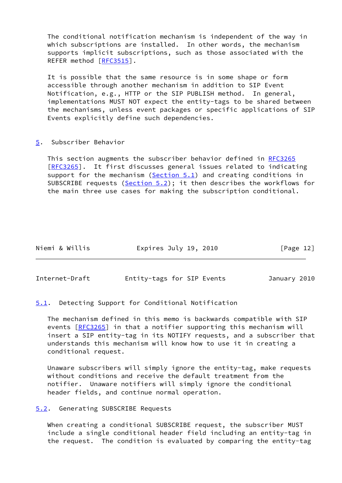The conditional notification mechanism is independent of the way in which subscriptions are installed. In other words, the mechanism supports implicit subscriptions, such as those associated with the REFER method [\[RFC3515](https://datatracker.ietf.org/doc/pdf/rfc3515)].

It is possible that the same resource is in some shape or form accessible through another mechanism in addition to SIP Event Notification, e.g., HTTP or the SIP PUBLISH method. In general, implementations MUST NOT expect the entity-tags to be shared between the mechanisms, unless event packages or specific applications of SIP Events explicitly define such dependencies.

<span id="page-13-0"></span>[5](#page-13-0). Subscriber Behavior

 This section augments the subscriber behavior defined in [RFC3265](https://datatracker.ietf.org/doc/pdf/rfc3265) [\[RFC3265](https://datatracker.ietf.org/doc/pdf/rfc3265)]. It first discusses general issues related to indicating support for the mechanism (Section  $5.1$ ) and creating conditions in SUBSCRIBE requests ([Section 5.2\)](#page-13-3); it then describes the workflows for the main three use cases for making the subscription conditional.

| Niemi & Willis<br>Expires July 19, 2010 | [Page 12] |
|-----------------------------------------|-----------|
|-----------------------------------------|-----------|

<span id="page-13-2"></span>Internet-Draft Entity-tags for SIP Events January 2010

<span id="page-13-1"></span>[5.1](#page-13-1). Detecting Support for Conditional Notification

 The mechanism defined in this memo is backwards compatible with SIP events [\[RFC3265](https://datatracker.ietf.org/doc/pdf/rfc3265)] in that a notifier supporting this mechanism will insert a SIP entity-tag in its NOTIFY requests, and a subscriber that understands this mechanism will know how to use it in creating a conditional request.

 Unaware subscribers will simply ignore the entity-tag, make requests without conditions and receive the default treatment from the notifier. Unaware notifiers will simply ignore the conditional header fields, and continue normal operation.

<span id="page-13-3"></span>[5.2](#page-13-3). Generating SUBSCRIBE Requests

 When creating a conditional SUBSCRIBE request, the subscriber MUST include a single conditional header field including an entity-tag in the request. The condition is evaluated by comparing the entity-tag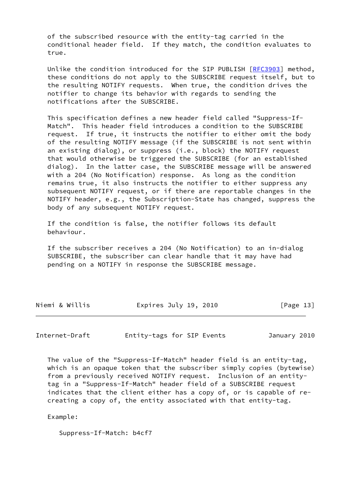of the subscribed resource with the entity-tag carried in the conditional header field. If they match, the condition evaluates to true.

Unlike the condition introduced for the SIP PUBLISH [\[RFC3903](https://datatracker.ietf.org/doc/pdf/rfc3903)] method, these conditions do not apply to the SUBSCRIBE request itself, but to the resulting NOTIFY requests. When true, the condition drives the notifier to change its behavior with regards to sending the notifications after the SUBSCRIBE.

 This specification defines a new header field called "Suppress-If- Match". This header field introduces a condition to the SUBSCRIBE request. If true, it instructs the notifier to either omit the body of the resulting NOTIFY message (if the SUBSCRIBE is not sent within an existing dialog), or suppress (i.e., block) the NOTIFY request that would otherwise be triggered the SUBSCRIBE (for an established dialog). In the latter case, the SUBSCRIBE message will be answered with a 204 (No Notification) response. As long as the condition remains true, it also instructs the notifier to either suppress any subsequent NOTIFY request, or if there are reportable changes in the NOTIFY header, e.g., the Subscription-State has changed, suppress the body of any subsequent NOTIFY request.

 If the condition is false, the notifier follows its default behaviour.

 If the subscriber receives a 204 (No Notification) to an in-dialog SUBSCRIBE, the subscriber can clear handle that it may have had pending on a NOTIFY in response the SUBSCRIBE message.

| Niemi & Willis | Expires July 19, 2010 | [Page 13] |
|----------------|-----------------------|-----------|
|----------------|-----------------------|-----------|

<span id="page-14-0"></span>Internet-Draft Entity-tags for SIP Events January 2010

 The value of the "Suppress-If-Match" header field is an entity-tag, which is an opaque token that the subscriber simply copies (bytewise) from a previously received NOTIFY request. Inclusion of an entity tag in a "Suppress-If-Match" header field of a SUBSCRIBE request indicates that the client either has a copy of, or is capable of re creating a copy of, the entity associated with that entity-tag.

Example:

Suppress-If-Match: b4cf7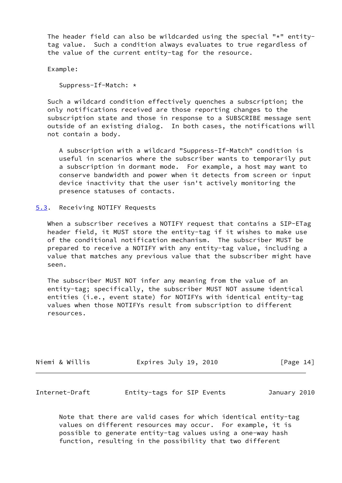The header field can also be wildcarded using the special " $*$ " entity tag value. Such a condition always evaluates to true regardless of the value of the current entity-tag for the resource.

Example:

Suppress-If-Match: \*

 Such a wildcard condition effectively quenches a subscription; the only notifications received are those reporting changes to the subscription state and those in response to a SUBSCRIBE message sent outside of an existing dialog. In both cases, the notifications will not contain a body.

 A subscription with a wildcard "Suppress-If-Match" condition is useful in scenarios where the subscriber wants to temporarily put a subscription in dormant mode. For example, a host may want to conserve bandwidth and power when it detects from screen or input device inactivity that the user isn't actively monitoring the presence statuses of contacts.

<span id="page-15-0"></span>[5.3](#page-15-0). Receiving NOTIFY Requests

When a subscriber receives a NOTIFY request that contains a SIP-ETag header field, it MUST store the entity-tag if it wishes to make use of the conditional notification mechanism. The subscriber MUST be prepared to receive a NOTIFY with any entity-tag value, including a value that matches any previous value that the subscriber might have seen.

 The subscriber MUST NOT infer any meaning from the value of an entity-tag; specifically, the subscriber MUST NOT assume identical entities (i.e., event state) for NOTIFYs with identical entity-tag values when those NOTIFYs result from subscription to different resources.

Niemi & Willis Expires July 19, 2010 [Page 14]

<span id="page-15-1"></span>Internet-Draft Entity-tags for SIP Events January 2010

 Note that there are valid cases for which identical entity-tag values on different resources may occur. For example, it is possible to generate entity-tag values using a one-way hash function, resulting in the possibility that two different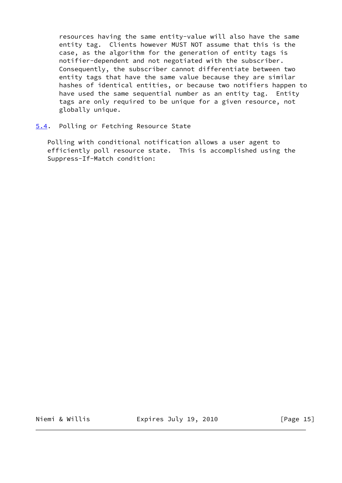resources having the same entity-value will also have the same entity tag. Clients however MUST NOT assume that this is the case, as the algorithm for the generation of entity tags is notifier-dependent and not negotiated with the subscriber. Consequently, the subscriber cannot differentiate between two entity tags that have the same value because they are similar hashes of identical entities, or because two notifiers happen to have used the same sequential number as an entity tag. Entity tags are only required to be unique for a given resource, not globally unique.

# <span id="page-16-0"></span>[5.4](#page-16-0). Polling or Fetching Resource State

 Polling with conditional notification allows a user agent to efficiently poll resource state. This is accomplished using the Suppress-If-Match condition:

Niemi & Willis **Expires July 19, 2010** [Page 15]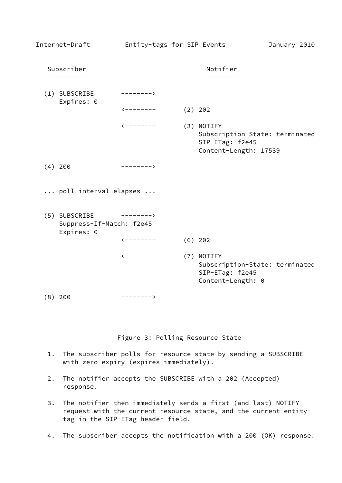| Internet-Draft                                          | Entity-tags for SIP Events |                                                                                          | January 2010 |
|---------------------------------------------------------|----------------------------|------------------------------------------------------------------------------------------|--------------|
| Subscriber                                              |                            | Notifier                                                                                 |              |
| (1) SUBSCRIBE<br>Expires: 0                             | -------->                  |                                                                                          |              |
|                                                         | $\leftarrow$ - - - - - - - | $(2)$ 202                                                                                |              |
|                                                         | $\leftarrow$ - - - - - - - | (3) NOTIFY<br>Subscription-State: terminated<br>SIP-ETag: f2e45<br>Content-Length: 17539 |              |
| $(4)$ 200                                               | $--------$                 |                                                                                          |              |
| poll interval elapses                                   |                            |                                                                                          |              |
| (5) SUBSCRIBE<br>Suppress-If-Match: f2e45<br>Expires: 0 | $--------$                 |                                                                                          |              |
|                                                         | <--------                  | $(6)$ 202                                                                                |              |
|                                                         | <b>&lt;--------</b>        | (7) NOTIFY<br>Subscription-State: terminated<br>SIP-ETag: f2e45<br>Content-Length: 0     |              |
| $(8)$ 200                                               | -------->                  |                                                                                          |              |

Figure 3: Polling Resource State

- 1. The subscriber polls for resource state by sending a SUBSCRIBE with zero expiry (expires immediately).
- 2. The notifier accepts the SUBSCRIBE with a 202 (Accepted) response.
- 3. The notifier then immediately sends a first (and last) NOTIFY request with the current resource state, and the current entity tag in the SIP-ETag header field.
- 4. The subscriber accepts the notification with a 200 (OK) response.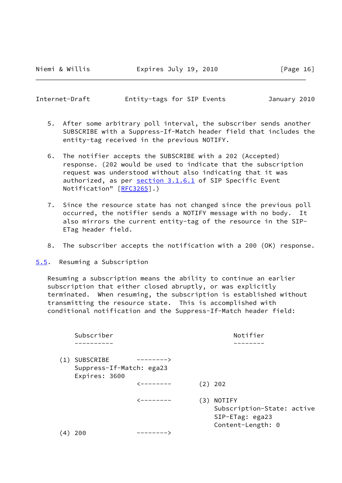<span id="page-18-1"></span>Internet-Draft Entity-tags for SIP Events January 2010

- 5. After some arbitrary poll interval, the subscriber sends another SUBSCRIBE with a Suppress-If-Match header field that includes the entity-tag received in the previous NOTIFY.
- 6. The notifier accepts the SUBSCRIBE with a 202 (Accepted) response. (202 would be used to indicate that the subscription request was understood without also indicating that it was authorized, as per section 3.1.6.1 of SIP Specific Event Notification" [[RFC3265](https://datatracker.ietf.org/doc/pdf/rfc3265)].)
- 7. Since the resource state has not changed since the previous poll occurred, the notifier sends a NOTIFY message with no body. It also mirrors the current entity-tag of the resource in the SIP- ETag header field.
- 8. The subscriber accepts the notification with a 200 (OK) response.

<span id="page-18-0"></span>[5.5](#page-18-0). Resuming a Subscription

 Resuming a subscription means the ability to continue an earlier subscription that either closed abruptly, or was explicitly terminated. When resuming, the subscription is established without transmitting the resource state. This is accomplished with conditional notification and the Suppress-If-Match header field:

|     | Subscriber                            |           |     | Notifier                                                                     |
|-----|---------------------------------------|-----------|-----|------------------------------------------------------------------------------|
|     |                                       |           |     |                                                                              |
| (1) | SUBSCRIBE<br>Suppress-If-Match: ega23 | --------> |     |                                                                              |
|     | Expires: 3600                         | <-------- |     | (2) 202                                                                      |
|     |                                       | <-------- | (3) | NOTIFY<br>Subscription-State: active<br>SIP-ETag: ega23<br>Content-Length: 0 |
| 4   | 200                                   | --------  |     |                                                                              |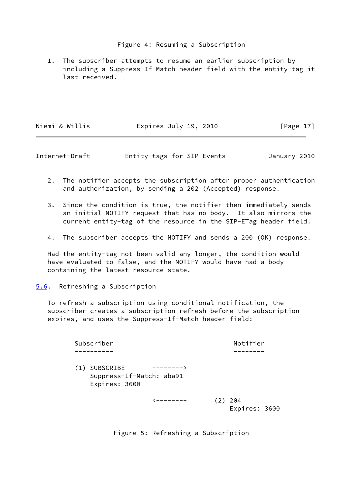# Figure 4: Resuming a Subscription

 1. The subscriber attempts to resume an earlier subscription by including a Suppress-If-Match header field with the entity-tag it last received.

| Niemi & Willis | Expires July 19, 2010 | [Page 17] |
|----------------|-----------------------|-----------|
|----------------|-----------------------|-----------|

<span id="page-19-1"></span>Internet-Draft Entity-tags for SIP Events January 2010

- 2. The notifier accepts the subscription after proper authentication and authorization, by sending a 202 (Accepted) response.
- 3. Since the condition is true, the notifier then immediately sends an initial NOTIFY request that has no body. It also mirrors the current entity-tag of the resource in the SIP-ETag header field.
- 4. The subscriber accepts the NOTIFY and sends a 200 (OK) response.

 Had the entity-tag not been valid any longer, the condition would have evaluated to false, and the NOTIFY would have had a body containing the latest resource state.

# <span id="page-19-0"></span>[5.6](#page-19-0). Refreshing a Subscription

 To refresh a subscription using conditional notification, the subscriber creates a subscription refresh before the subscription expires, and uses the Suppress-If-Match header field:

Subscriber Notifier ---------- -------- (1) SUBSCRIBE --------> Suppress-If-Match: aba91 Expires: 3600  $\left(---------\right)$  (2) 204 Expires: 3600

Figure 5: Refreshing a Subscription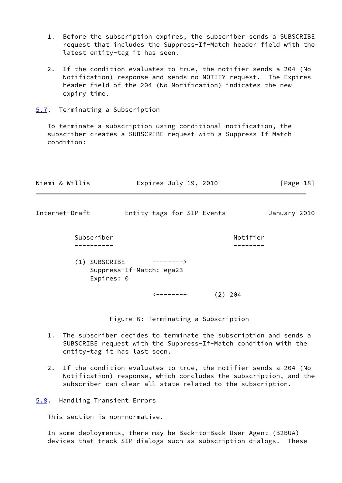- 1. Before the subscription expires, the subscriber sends a SUBSCRIBE request that includes the Suppress-If-Match header field with the latest entity-tag it has seen.
- 2. If the condition evaluates to true, the notifier sends a 204 (No Notification) response and sends no NOTIFY request. The Expires header field of the 204 (No Notification) indicates the new expiry time.
- <span id="page-20-0"></span>[5.7](#page-20-0). Terminating a Subscription

 To terminate a subscription using conditional notification, the subscriber creates a SUBSCRIBE request with a Suppress-If-Match condition:

<span id="page-20-2"></span>

|    | Niemi & Willis              | Expires July 19, 2010                                                                                                                                               |           | [Page 18]    |
|----|-----------------------------|---------------------------------------------------------------------------------------------------------------------------------------------------------------------|-----------|--------------|
|    | Internet-Draft              | Entity-tags for SIP Events                                                                                                                                          |           | January 2010 |
|    | Subscriber                  |                                                                                                                                                                     | Notifier  |              |
|    | (1) SUBSCRIBE<br>Expires: 0 | ————————><br>Suppress-If-Match: ega23                                                                                                                               |           |              |
|    |                             | $\leftarrow$ - - - - - - -                                                                                                                                          | $(2)$ 204 |              |
|    |                             | Figure 6: Terminating a Subscription                                                                                                                                |           |              |
| 1. |                             | The subscriber decides to terminate the subscription and sends a<br>SUBSCRIBE request with the Suppress-If-Match condition with the<br>entity-tag it has last seen. |           |              |

 2. If the condition evaluates to true, the notifier sends a 204 (No Notification) response, which concludes the subscription, and the subscriber can clear all state related to the subscription.

<span id="page-20-1"></span>[5.8](#page-20-1). Handling Transient Errors

This section is non-normative.

 In some deployments, there may be Back-to-Back User Agent (B2BUA) devices that track SIP dialogs such as subscription dialogs. These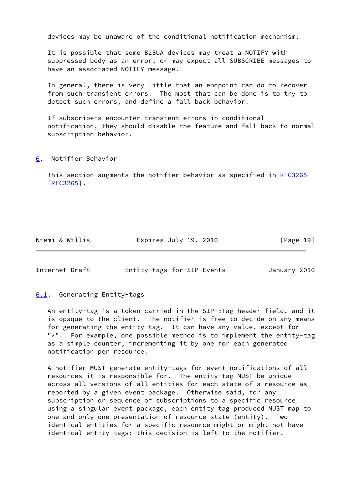devices may be unaware of the conditional notification mechanism.

 It is possible that some B2BUA devices may treat a NOTIFY with suppressed body as an error, or may expect all SUBSCRIBE messages to have an associated NOTIFY message.

 In general, there is very little that an endpoint can do to recover from such transient errors. The most that can be done is to try to detect such errors, and define a fall back behavior.

 If subscribers encounter transient errors in conditional notification, they should disable the feature and fall back to normal subscription behavior.

<span id="page-21-0"></span>[6](#page-21-0). Notifier Behavior

 This section augments the notifier behavior as specified in [RFC3265](https://datatracker.ietf.org/doc/pdf/rfc3265) [\[RFC3265](https://datatracker.ietf.org/doc/pdf/rfc3265)].

Niemi & Willis **Expires July 19, 2010** [Page 19]

<span id="page-21-2"></span>Internet-Draft Entity-tags for SIP Events January 2010

# <span id="page-21-1"></span>[6.1](#page-21-1). Generating Entity-tags

 An entity-tag is a token carried in the SIP-ETag header field, and it is opaque to the client. The notifier is free to decide on any means for generating the entity-tag. It can have any value, except for "\*". For example, one possible method is to implement the entity-tag as a simple counter, incrementing it by one for each generated notification per resource.

 A notifier MUST generate entity-tags for event notifications of all resources it is responsible for. The entity-tag MUST be unique across all versions of all entities for each state of a resource as reported by a given event package. Otherwise said, for any subscription or sequence of subscriptions to a specific resource using a singular event package, each entity tag produced MUST map to one and only one presentation of resource state (entity). Two identical entities for a specific resource might or might not have identical entity tags; this decision is left to the notifier.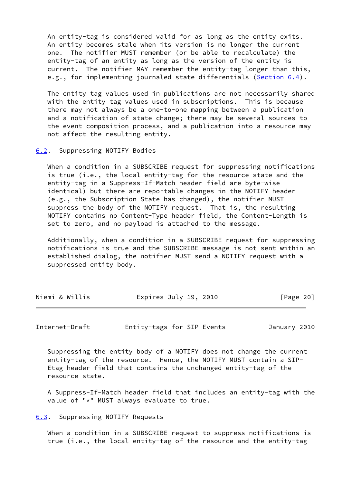An entity-tag is considered valid for as long as the entity exits. An entity becomes stale when its version is no longer the current one. The notifier MUST remember (or be able to recalculate) the entity-tag of an entity as long as the version of the entity is current. The notifier MAY remember the entity-tag longer than this, e.g., for implementing journaled state differentials [\(Section 6.4](#page-23-0)).

 The entity tag values used in publications are not necessarily shared with the entity tag values used in subscriptions. This is because there may not always be a one-to-one mapping between a publication and a notification of state change; there may be several sources to the event composition process, and a publication into a resource may not affect the resulting entity.

#### <span id="page-22-0"></span>[6.2](#page-22-0). Suppressing NOTIFY Bodies

 When a condition in a SUBSCRIBE request for suppressing notifications is true (i.e., the local entity-tag for the resource state and the entity-tag in a Suppress-If-Match header field are byte-wise identical) but there are reportable changes in the NOTIFY header (e.g., the Subscription-State has changed), the notifier MUST suppress the body of the NOTIFY request. That is, the resulting NOTIFY contains no Content-Type header field, the Content-Length is set to zero, and no payload is attached to the message.

 Additionally, when a condition in a SUBSCRIBE request for suppressing notifications is true and the SUBSCRIBE message is not sent within an established dialog, the notifier MUST send a NOTIFY request with a suppressed entity body.

| Niemi & Willis<br>Expires July 19, 2010<br>[Page 20] |  |
|------------------------------------------------------|--|
|------------------------------------------------------|--|

<span id="page-22-2"></span>Internet-Draft Entity-tags for SIP Events January 2010

 Suppressing the entity body of a NOTIFY does not change the current entity-tag of the resource. Hence, the NOTIFY MUST contain a SIP- Etag header field that contains the unchanged entity-tag of the resource state.

 A Suppress-If-Match header field that includes an entity-tag with the value of "\*" MUST always evaluate to true.

<span id="page-22-1"></span>[6.3](#page-22-1). Suppressing NOTIFY Requests

 When a condition in a SUBSCRIBE request to suppress notifications is true (i.e., the local entity-tag of the resource and the entity-tag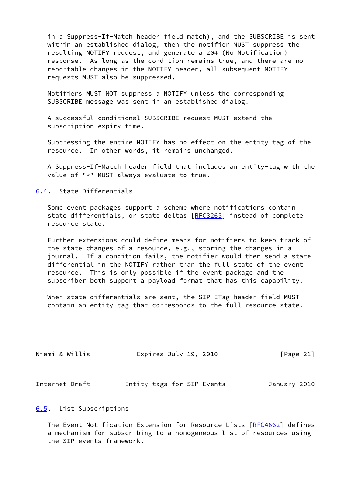in a Suppress-If-Match header field match), and the SUBSCRIBE is sent within an established dialog, then the notifier MUST suppress the resulting NOTIFY request, and generate a 204 (No Notification) response. As long as the condition remains true, and there are no reportable changes in the NOTIFY header, all subsequent NOTIFY requests MUST also be suppressed.

 Notifiers MUST NOT suppress a NOTIFY unless the corresponding SUBSCRIBE message was sent in an established dialog.

 A successful conditional SUBSCRIBE request MUST extend the subscription expiry time.

 Suppressing the entire NOTIFY has no effect on the entity-tag of the resource. In other words, it remains unchanged.

 A Suppress-If-Match header field that includes an entity-tag with the value of "\*" MUST always evaluate to true.

<span id="page-23-0"></span>[6.4](#page-23-0). State Differentials

 Some event packages support a scheme where notifications contain state differentials, or state deltas [\[RFC3265](https://datatracker.ietf.org/doc/pdf/rfc3265)] instead of complete resource state.

 Further extensions could define means for notifiers to keep track of the state changes of a resource, e.g., storing the changes in a journal. If a condition fails, the notifier would then send a state differential in the NOTIFY rather than the full state of the event resource. This is only possible if the event package and the subscriber both support a payload format that has this capability.

 When state differentials are sent, the SIP-ETag header field MUST contain an entity-tag that corresponds to the full resource state.

| Niemi & Willis<br>Expires July 19, 2010 | [Page 21] |
|-----------------------------------------|-----------|
|-----------------------------------------|-----------|

<span id="page-23-2"></span>

| Internet-Draft | Entity-tags for SIP Events |  |  | January 2010 |  |
|----------------|----------------------------|--|--|--------------|--|
|----------------|----------------------------|--|--|--------------|--|

<span id="page-23-1"></span>[6.5](#page-23-1). List Subscriptions

 The Event Notification Extension for Resource Lists [\[RFC4662](https://datatracker.ietf.org/doc/pdf/rfc4662)] defines a mechanism for subscribing to a homogeneous list of resources using the SIP events framework.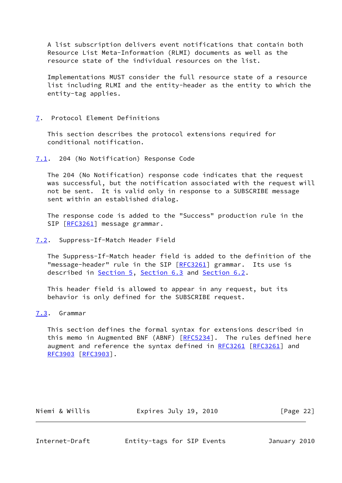A list subscription delivers event notifications that contain both Resource List Meta-Information (RLMI) documents as well as the resource state of the individual resources on the list.

 Implementations MUST consider the full resource state of a resource list including RLMI and the entity-header as the entity to which the entity-tag applies.

### <span id="page-24-0"></span>[7](#page-24-0). Protocol Element Definitions

 This section describes the protocol extensions required for conditional notification.

<span id="page-24-1"></span>[7.1](#page-24-1). 204 (No Notification) Response Code

 The 204 (No Notification) response code indicates that the request was successful, but the notification associated with the request will not be sent. It is valid only in response to a SUBSCRIBE message sent within an established dialog.

 The response code is added to the "Success" production rule in the SIP [\[RFC3261](https://datatracker.ietf.org/doc/pdf/rfc3261)] message grammar.

<span id="page-24-2"></span>[7.2](#page-24-2). Suppress-If-Match Header Field

 The Suppress-If-Match header field is added to the definition of the "message-header" rule in the SIP [\[RFC3261](https://datatracker.ietf.org/doc/pdf/rfc3261)] grammar. Its use is described in [Section 5](#page-13-0), [Section 6.3](#page-22-1) and [Section 6.2](#page-22-0).

 This header field is allowed to appear in any request, but its behavior is only defined for the SUBSCRIBE request.

# <span id="page-24-3"></span>[7.3](#page-24-3). Grammar

 This section defines the formal syntax for extensions described in this memo in Augmented BNF (ABNF) [[RFC5234](https://datatracker.ietf.org/doc/pdf/rfc5234)]. The rules defined here augment and reference the syntax defined in [RFC3261 \[RFC3261](https://datatracker.ietf.org/doc/pdf/rfc3261)] and [RFC3903](https://datatracker.ietf.org/doc/pdf/rfc3903) [\[RFC3903](https://datatracker.ietf.org/doc/pdf/rfc3903)].

| Niemi & Willis<br>Expires July 19, 2010 | [Page 22] |
|-----------------------------------------|-----------|
|-----------------------------------------|-----------|

<span id="page-24-4"></span>

Internet-Draft Entity-tags for SIP Events January 2010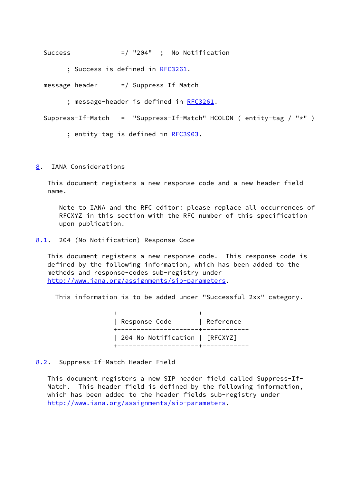Success  $=$  / "204" ; No Notification

; Success is defined in [RFC3261](https://datatracker.ietf.org/doc/pdf/rfc3261).

message-header =/ Suppress-If-Match

; message-header is defined in [RFC3261.](https://datatracker.ietf.org/doc/pdf/rfc3261)

```
 Suppress-If-Match = "Suppress-If-Match" HCOLON ( entity-tag / "*" )
```
; entity-tag is defined in [RFC3903](https://datatracker.ietf.org/doc/pdf/rfc3903).

<span id="page-25-0"></span>[8](#page-25-0). IANA Considerations

 This document registers a new response code and a new header field name.

 Note to IANA and the RFC editor: please replace all occurrences of RFCXYZ in this section with the RFC number of this specification upon publication.

<span id="page-25-1"></span>[8.1](#page-25-1). 204 (No Notification) Response Code

 This document registers a new response code. This response code is defined by the following information, which has been added to the methods and response-codes sub-registry under <http://www.iana.org/assignments/sip-parameters>.

This information is to be added under "Successful 2xx" category.

| -------------------+----------<br>Response Code | Reference |
|-------------------------------------------------|-----------|
| 204 No Notification   [RFCXYZ]                  |           |

# <span id="page-25-2"></span>[8.2](#page-25-2). Suppress-If-Match Header Field

 This document registers a new SIP header field called Suppress-If- Match. This header field is defined by the following information, which has been added to the header fields sub-registry under <http://www.iana.org/assignments/sip-parameters>.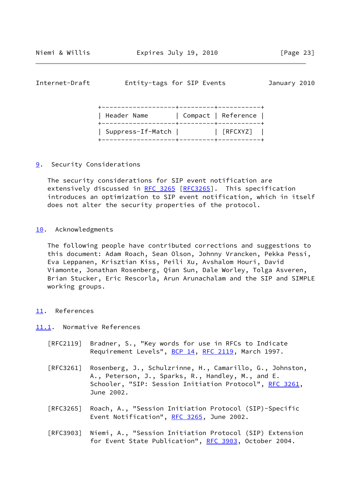<span id="page-26-1"></span>Internet-Draft Entity-tags for SIP Events January 2010

| Header Name       | Compact   Reference |
|-------------------|---------------------|
| Suppress-If-Match | [RFCXYZ]            |

# <span id="page-26-0"></span>[9](#page-26-0). Security Considerations

 The security considerations for SIP event notification are extensively discussed in [RFC 3265](https://datatracker.ietf.org/doc/pdf/rfc3265) [[RFC3265](https://datatracker.ietf.org/doc/pdf/rfc3265)]. This specification introduces an optimization to SIP event notification, which in itself does not alter the security properties of the protocol.

#### <span id="page-26-2"></span>[10.](#page-26-2) Acknowledgments

 The following people have contributed corrections and suggestions to this document: Adam Roach, Sean Olson, Johnny Vrancken, Pekka Pessi, Eva Leppanen, Krisztian Kiss, Peili Xu, Avshalom Houri, David Viamonte, Jonathan Rosenberg, Qian Sun, Dale Worley, Tolga Asveren, Brian Stucker, Eric Rescorla, Arun Arunachalam and the SIP and SIMPLE working groups.

#### <span id="page-26-3"></span>[11.](#page-26-3) References

### <span id="page-26-4"></span>[11.1](#page-26-4). Normative References

- [RFC2119] Bradner, S., "Key words for use in RFCs to Indicate Requirement Levels", [BCP 14](https://datatracker.ietf.org/doc/pdf/bcp14), [RFC 2119](https://datatracker.ietf.org/doc/pdf/rfc2119), March 1997.
- [RFC3261] Rosenberg, J., Schulzrinne, H., Camarillo, G., Johnston, A., Peterson, J., Sparks, R., Handley, M., and E. Schooler, "SIP: Session Initiation Protocol", [RFC 3261](https://datatracker.ietf.org/doc/pdf/rfc3261), June 2002.
- [RFC3265] Roach, A., "Session Initiation Protocol (SIP)-Specific Event Notification", [RFC 3265](https://datatracker.ietf.org/doc/pdf/rfc3265), June 2002.
- [RFC3903] Niemi, A., "Session Initiation Protocol (SIP) Extension for Event State Publication", [RFC 3903](https://datatracker.ietf.org/doc/pdf/rfc3903), October 2004.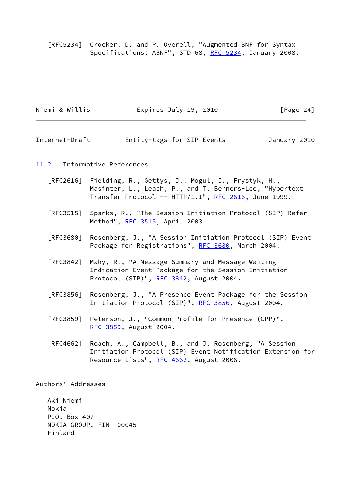[RFC5234] Crocker, D. and P. Overell, "Augmented BNF for Syntax Specifications: ABNF", STD 68, [RFC 5234](https://datatracker.ietf.org/doc/pdf/rfc5234), January 2008.

| Niemi & Willis | Expires July 19, 2010 | [Page 24] |
|----------------|-----------------------|-----------|
|                |                       |           |

<span id="page-27-1"></span>Internet-Draft Entity-tags for SIP Events January 2010

#### <span id="page-27-0"></span>[11.2](#page-27-0). Informative References

- [RFC2616] Fielding, R., Gettys, J., Mogul, J., Frystyk, H., Masinter, L., Leach, P., and T. Berners-Lee, "Hypertext Transfer Protocol --  $HTTP/1.1$ ", [RFC 2616,](https://datatracker.ietf.org/doc/pdf/rfc2616) June 1999.
- [RFC3515] Sparks, R., "The Session Initiation Protocol (SIP) Refer Method", [RFC 3515,](https://datatracker.ietf.org/doc/pdf/rfc3515) April 2003.
- [RFC3680] Rosenberg, J., "A Session Initiation Protocol (SIP) Event Package for Registrations", [RFC 3680,](https://datatracker.ietf.org/doc/pdf/rfc3680) March 2004.
- [RFC3842] Mahy, R., "A Message Summary and Message Waiting Indication Event Package for the Session Initiation Protocol (SIP)", [RFC 3842,](https://datatracker.ietf.org/doc/pdf/rfc3842) August 2004.
- [RFC3856] Rosenberg, J., "A Presence Event Package for the Session Initiation Protocol (SIP)", [RFC 3856,](https://datatracker.ietf.org/doc/pdf/rfc3856) August 2004.
- [RFC3859] Peterson, J., "Common Profile for Presence (CPP)", [RFC 3859,](https://datatracker.ietf.org/doc/pdf/rfc3859) August 2004.
- [RFC4662] Roach, A., Campbell, B., and J. Rosenberg, "A Session Initiation Protocol (SIP) Event Notification Extension for Resource Lists", [RFC 4662,](https://datatracker.ietf.org/doc/pdf/rfc4662) August 2006.

Authors' Addresses

 Aki Niemi Nokia P.O. Box 407 NOKIA GROUP, FIN 00045 Finland